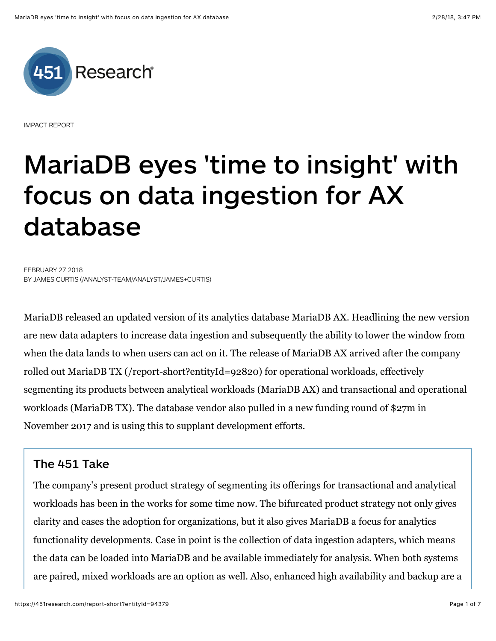

IMPACT REPORT

# **MariaDB eyes 'time to insight' with focus on data ingestion for AX database**

FEBRUARY 27 2018 BY [JAMES CURTIS \(/ANALYST-TEAM/ANALYST/JAMES+CURTIS\)](https://451research.com/analyst-team/analyst/James+Curtis)

MariaDB released an updated version of its analytics database MariaDB AX. Headlining the new version are new data adapters to increase data ingestion and subsequently the ability to lower the window from when the data lands to when users can act on it. The release of MariaDB AX arrived after the company [rolled out MariaDB TX \(/report-short?entityId=92820\)](https://451research.com/report-short?entityId=92820) for operational workloads, effectively segmenting its products between analytical workloads (MariaDB AX) and transactional and operational workloads (MariaDB TX). The database vendor also pulled in a new funding round of \$27m in November 2017 and is using this to supplant development efforts.

# **The 451 Take**

The company's present product strategy of segmenting its offerings for transactional and analytical workloads has been in the works for some time now. The bifurcated product strategy not only gives clarity and eases the adoption for organizations, but it also gives MariaDB a focus for analytics functionality developments. Case in point is the collection of data ingestion adapters, which means the data can be loaded into MariaDB and be available immediately for analysis. When both systems are paired, mixed workloads are an option as well. Also, enhanced high availability and backup are a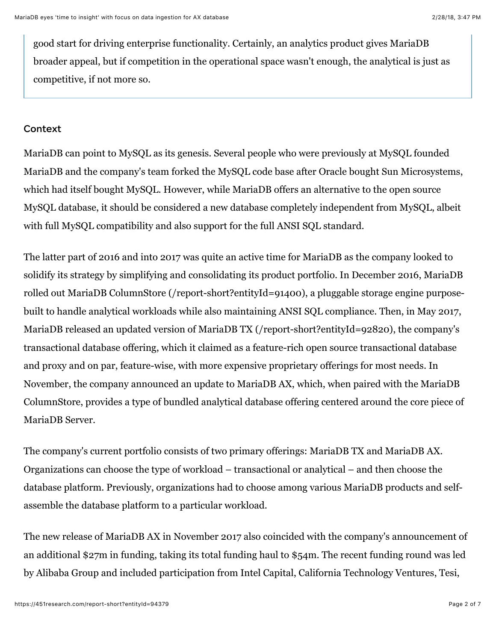good start for driving enterprise functionality. Certainly, an analytics product gives MariaDB broader appeal, but if competition in the operational space wasn't enough, the analytical is just as competitive, if not more so.

### **Context**

MariaDB can point to MySQL as its genesis. Several people who were previously at MySQL founded MariaDB and the company's team forked the MySQL code base after Oracle bought Sun Microsystems, which had itself bought MySQL. However, while MariaDB offers an alternative to the open source MySQL database, it should be considered a new database completely independent from MySQL, albeit with full MySQL compatibility and also support for the full ANSI SQL standard.

The latter part of 2016 and into 2017 was quite an active time for MariaDB as the company looked to solidify its strategy by simplifying and consolidating its product portfolio. In December 2016, MariaDB [rolled out MariaDB ColumnStore \(/report-short?entityId=91400\),](https://451research.com/report-short?entityId=91400) a pluggable storage engine purposebuilt to handle analytical workloads while also maintaining ANSI SQL compliance. Then, in May 2017, MariaDB released an [updated version of MariaDB TX \(/report-short?entityId=92820\)](https://451research.com/report-short?entityId=92820), the company's transactional database offering, which it claimed as a feature-rich open source transactional database and proxy and on par, feature-wise, with more expensive proprietary offerings for most needs. In November, the company announced an update to MariaDB AX, which, when paired with the MariaDB ColumnStore, provides a type of bundled analytical database offering centered around the core piece of MariaDB Server.

The company's current portfolio consists of two primary offerings: MariaDB TX and MariaDB AX. Organizations can choose the type of workload – transactional or analytical – and then choose the database platform. Previously, organizations had to choose among various MariaDB products and selfassemble the database platform to a particular workload.

The new release of MariaDB AX in November 2017 also coincided with the company's announcement of an additional \$27m in funding, taking its total funding haul to \$54m. The recent funding round was led by Alibaba Group and included participation from Intel Capital, California Technology Ventures, Tesi,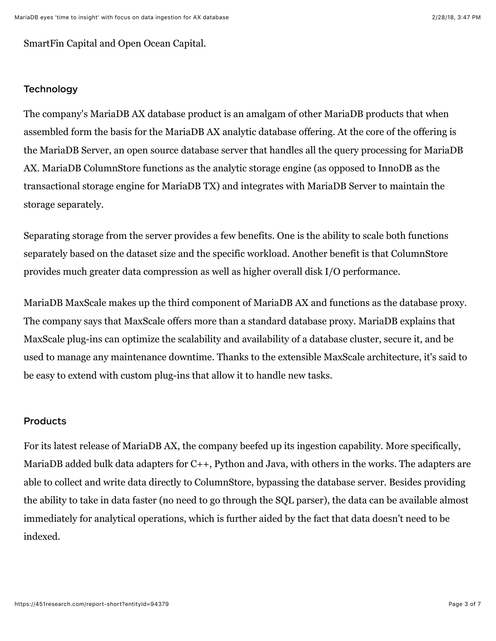SmartFin Capital and Open Ocean Capital.

#### **Technology**

The company's MariaDB AX database product is an amalgam of other MariaDB products that when assembled form the basis for the MariaDB AX analytic database offering. At the core of the offering is the MariaDB Server, an open source database server that handles all the query processing for MariaDB AX. MariaDB ColumnStore functions as the analytic storage engine (as opposed to InnoDB as the transactional storage engine for MariaDB TX) and integrates with MariaDB Server to maintain the storage separately.

Separating storage from the server provides a few benefits. One is the ability to scale both functions separately based on the dataset size and the specific workload. Another benefit is that ColumnStore provides much greater data compression as well as higher overall disk I/O performance.

MariaDB MaxScale makes up the third component of MariaDB AX and functions as the database proxy. The company says that MaxScale offers more than a standard database proxy. MariaDB explains that MaxScale plug-ins can optimize the scalability and availability of a database cluster, secure it, and be used to manage any maintenance downtime. Thanks to the extensible MaxScale architecture, it's said to be easy to extend with custom plug-ins that allow it to handle new tasks.

#### **Products**

For its latest release of MariaDB AX, the company beefed up its ingestion capability. More specifically, MariaDB added bulk data adapters for C++, Python and Java, with others in the works. The adapters are able to collect and write data directly to ColumnStore, bypassing the database server. Besides providing the ability to take in data faster (no need to go through the SQL parser), the data can be available almost immediately for analytical operations, which is further aided by the fact that data doesn't need to be indexed.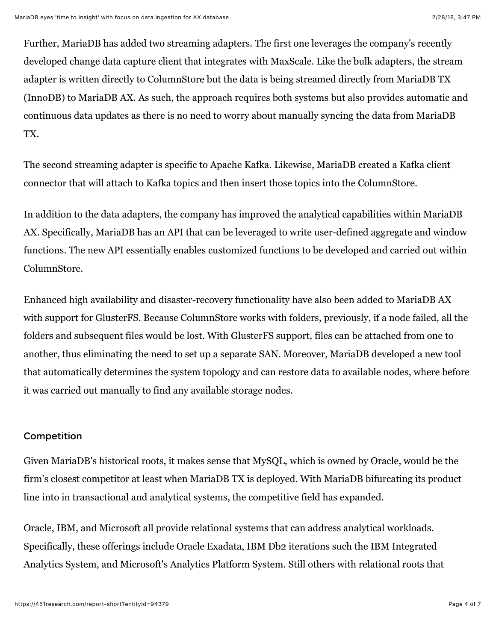Further, MariaDB has added two streaming adapters. The first one leverages the company's recently developed change data capture client that integrates with MaxScale. Like the bulk adapters, the stream adapter is written directly to ColumnStore but the data is being streamed directly from MariaDB TX (InnoDB) to MariaDB AX. As such, the approach requires both systems but also provides automatic and continuous data updates as there is no need to worry about manually syncing the data from MariaDB TX.

The second streaming adapter is specific to Apache Kafka. Likewise, MariaDB created a Kafka client connector that will attach to Kafka topics and then insert those topics into the ColumnStore.

In addition to the data adapters, the company has improved the analytical capabilities within MariaDB AX. Specifically, MariaDB has an API that can be leveraged to write user-defined aggregate and window functions. The new API essentially enables customized functions to be developed and carried out within ColumnStore.

Enhanced high availability and disaster-recovery functionality have also been added to MariaDB AX with support for GlusterFS. Because ColumnStore works with folders, previously, if a node failed, all the folders and subsequent files would be lost. With GlusterFS support, files can be attached from one to another, thus eliminating the need to set up a separate SAN. Moreover, MariaDB developed a new tool that automatically determines the system topology and can restore data to available nodes, where before it was carried out manually to find any available storage nodes.

## **Competition**

Given MariaDB's historical roots, it makes sense that MySQL, which is owned by Oracle, would be the firm's closest competitor at least when MariaDB TX is deployed. With MariaDB bifurcating its product line into in transactional and analytical systems, the competitive field has expanded.

Oracle, IBM, and Microsoft all provide relational systems that can address analytical workloads. Specifically, these offerings include Oracle Exadata, IBM Db2 iterations such the IBM Integrated Analytics System, and Microsoft's Analytics Platform System. Still others with relational roots that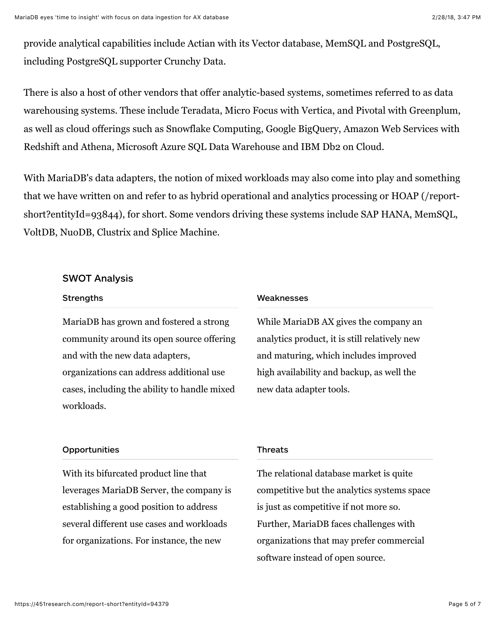provide analytical capabilities include Actian with its Vector database, MemSQL and PostgreSQL, including PostgreSQL supporter Crunchy Data.

There is also a host of other vendors that offer analytic-based systems, sometimes referred to as data warehousing systems. These include Teradata, Micro Focus with Vertica, and Pivotal with Greenplum, as well as cloud offerings such as Snowflake Computing, Google BigQuery, Amazon Web Services with Redshift and Athena, Microsoft Azure SQL Data Warehouse and IBM Db2 on Cloud.

With MariaDB's data adapters, the notion of mixed workloads may also come into play and something [that we have written on and refer to as hybrid operational and analytics processing or HOAP \(/report](https://451research.com/report-short?entityId=93844)short?entityId=93844), for short. Some vendors driving these systems include SAP HANA, MemSQL, VoltDB, NuoDB, Clustrix and Splice Machine.

#### **SWOT Analysis**

#### **Strengths**

MariaDB has grown and fostered a strong community around its open source offering and with the new data adapters, organizations can address additional use cases, including the ability to handle mixed workloads.

#### **Opportunities**

With its bifurcated product line that leverages MariaDB Server, the company is establishing a good position to address several different use cases and workloads for organizations. For instance, the new

#### **Weaknesses**

While MariaDB AX gives the company an analytics product, it is still relatively new and maturing, which includes improved high availability and backup, as well the new data adapter tools.

#### **Threats**

The relational database market is quite competitive but the analytics systems space is just as competitive if not more so. Further, MariaDB faces challenges with organizations that may prefer commercial software instead of open source.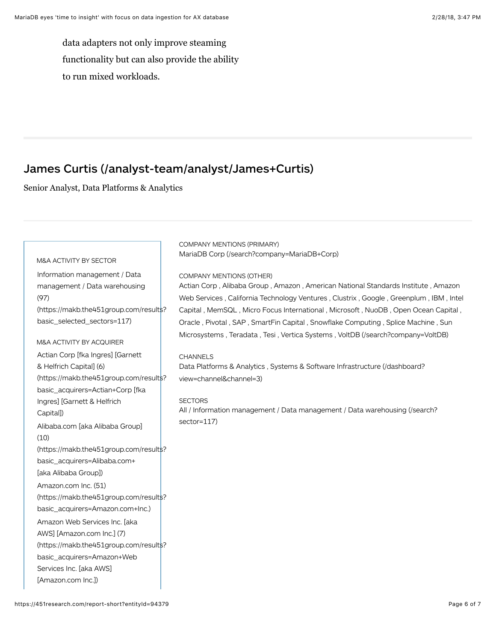data adapters not only improve steaming functionality but can also provide the ability to run mixed workloads.

# **[James Curtis \(/analyst-team/analyst/James+Curtis\)](https://451research.com/analyst-team/analyst/James+Curtis)**

Senior Analyst, Data Platforms & Analytics

|  |                                        | COMPANY MENTIONS (PRIMARY)                                                            |
|--|----------------------------------------|---------------------------------------------------------------------------------------|
|  |                                        | MariaDB Corp (/search?company=MariaDB+Corp)                                           |
|  | M&A ACTIVITY BY SECTOR                 |                                                                                       |
|  | Information management / Data          | COMPANY MENTIONS (OTHER)                                                              |
|  | management / Data warehousing          | Actian Corp, Alibaba Group, Amazon, American National Standards Institute, Amazon     |
|  | (97)                                   | Web Services, California Technology Ventures, Clustrix, Google, Greenplum, IBM, Intel |
|  | (https://makb.the451group.com/results? | Capital, MemSQL, Micro Focus International, Microsoft, NuoDB, Open Ocean Capital,     |
|  | basic_selected_sectors=117)            | Oracle, Pivotal, SAP, SmartFin Capital, Snowflake Computing, Splice Machine, Sun      |
|  |                                        | Microsystems, Teradata, Tesi, Vertica Systems, VoltDB (/search?company=VoltDB)        |
|  | M&A ACTIVITY BY ACQUIRER               |                                                                                       |
|  | Actian Corp [fka Ingres] [Garnett      | <b>CHANNELS</b>                                                                       |
|  | & Helfrich Capital] (6)                | Data Platforms & Analytics, Systems & Software Infrastructure (/dashboard?            |
|  | (https://makb.the451group.com/results? | view=channel&channel=3)                                                               |
|  | basic_acquirers=Actian+Corp [fka       |                                                                                       |
|  | Ingres] [Garnett & Helfrich            | <b>SECTORS</b>                                                                        |
|  | Capital])                              | All / Information management / Data management / Data warehousing (/search?           |
|  | Alibaba.com [aka Alibaba Group]        | sector=117)                                                                           |
|  | (10)                                   |                                                                                       |
|  | (https://makb.the451group.com/results? |                                                                                       |
|  | basic_acquirers=Alibaba.com+           |                                                                                       |
|  | [aka Alibaba Group])                   |                                                                                       |
|  | Amazon.com Inc. (51)                   |                                                                                       |
|  | (https://makb.the451group.com/results? |                                                                                       |
|  | basic_acquirers=Amazon.com+Inc.)       |                                                                                       |
|  | Amazon Web Services Inc. [aka          |                                                                                       |
|  | AWS] [Amazon.com Inc.] (7)             |                                                                                       |
|  | (https://makb.the451group.com/results? |                                                                                       |
|  | basic_acquirers=Amazon+Web             |                                                                                       |
|  | Services Inc. [aka AWS]                |                                                                                       |
|  | [Amazon.com Inc.])                     |                                                                                       |
|  |                                        |                                                                                       |